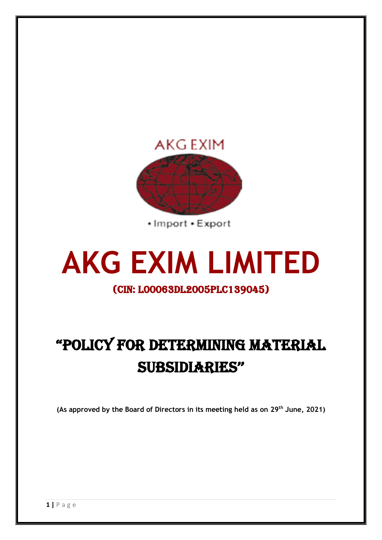

· Import · Export

# **AKG EXIM LIMITED**

### (CIN: L00063DL2005PLC139045)

## "POLICY FOR DETERMINING MATERIAL SUBSIDIARIES''

**(As approved by the Board of Directors in its meeting held as on 29th June, 2021)**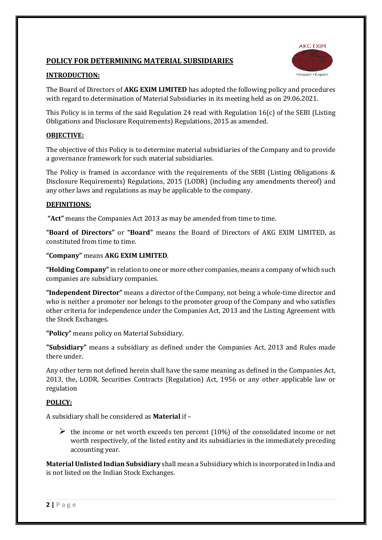#### **POLICY FOR DETERMINING MATERIAL SUBSIDIARIES**



#### **INTRODUCTION:**

The Board of Directors of **AKG EXIM LIMITED** has adopted the following policy and procedures with regard to determination of Material Subsidiaries in its meeting held as on 29.06.2021.

This Policy is in terms of the said Regulation 24 read with Regulation 16(c) of the SEBI (Listing Obligations and Disclosure Requirements) Regulations, 2015 as amended.

#### **OBJECTIVE:**

The objective of this Policy is to determine material subsidiaries of the Company and to provide a governance framework for such material subsidiaries.

The Policy is framed in accordance with the requirements of the SEBI (Listing Obligations & Disclosure Requirements) Regulations, 2015 (LODR) (including any amendments thereof) and any other laws and regulations as may be applicable to the company.

#### **DEFINITIONS:**

**"Act"** means the Companies Act 2013 as may be amended from time to time.

**"Board of Directors"** or **"Board"** means the Board of Directors of AKG EXIM LIMITED, as constituted from time to time.

**"Company"** means **AKG EXIM LIMITED**.

**"Holding Company"**in relation to one or more other companies, means a company of which such companies are subsidiary companies.

**"Independent Director"** means a director of the Company, not being a whole-time director and who is neither a promoter nor belongs to the promoter group of the Company and who satisfies other criteria for independence under the Companies Act, 2013 and the Listing Agreement with the Stock Exchanges.

**"Policy"** means policy on Material Subsidiary.

**"Subsidiary"** means a subsidiary as defined under the Companies Act, 2013 and Rules made there under.

Any other term not defined herein shall have the same meaning as defined in the Companies Act, 2013, the, LODR, Securities Contracts (Regulation) Act, 1956 or any other applicable law or regulation

#### **POLICY:**

A subsidiary shall be considered as **Material** if –

 $\triangleright$  the income or net worth exceeds ten percent (10%) of the consolidated income or net worth respectively, of the listed entity and its subsidiaries in the immediately preceding accounting year.

**Material Unlisted Indian Subsidiary** shall mean a Subsidiary which is incorporated in India and is not listed on the Indian Stock Exchanges.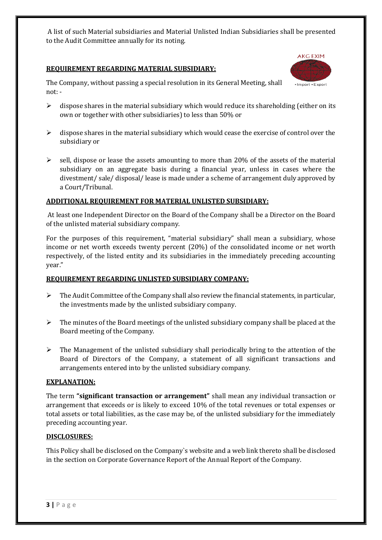A list of such Material subsidiaries and Material Unlisted Indian Subsidiaries shall be presented to the Audit Committee annually for its noting.

#### **REQUIREMENT REGARDING MATERIAL SUBSIDIARY:**



The Company, without passing a special resolution in its General Meeting, shall not: -

- $\triangleright$  dispose shares in the material subsidiary which would reduce its shareholding (either on its own or together with other subsidiaries) to less than 50% or
- $\triangleright$  dispose shares in the material subsidiary which would cease the exercise of control over the subsidiary or
- $\triangleright$  sell, dispose or lease the assets amounting to more than 20% of the assets of the material subsidiary on an aggregate basis during a financial year, unless in cases where the divestment/ sale/ disposal/ lease is made under a scheme of arrangement duly approved by a Court/Tribunal.

#### **ADDITIONAL REQUIREMENT FOR MATERIAL UNLISTED SUBSIDIARY:**

At least one Independent Director on the Board of the Company shall be a Director on the Board of the unlisted material subsidiary company.

For the purposes of this requirement, "material subsidiary" shall mean a subsidiary, whose income or net worth exceeds twenty percent (20%) of the consolidated income or net worth respectively, of the listed entity and its subsidiaries in the immediately preceding accounting year."

#### **REQUIREMENT REGARDING UNLISTED SUBSIDIARY COMPANY:**

- $\triangleright$  The Audit Committee of the Company shall also review the financial statements, in particular, the investments made by the unlisted subsidiary company.
- $\triangleright$  The minutes of the Board meetings of the unlisted subsidiary company shall be placed at the Board meeting of the Company.
- $\triangleright$  The Management of the unlisted subsidiary shall periodically bring to the attention of the Board of Directors of the Company, a statement of all significant transactions and arrangements entered into by the unlisted subsidiary company.

#### **EXPLANATION:**

The term **"significant transaction or arrangement"** shall mean any individual transaction or arrangement that exceeds or is likely to exceed 10% of the total revenues or total expenses or total assets or total liabilities, as the case may be, of the unlisted subsidiary for the immediately preceding accounting year.

#### **DISCLOSURES:**

This Policy shall be disclosed on the Company`s website and a web link thereto shall be disclosed in the section on Corporate Governance Report of the Annual Report of the Company.